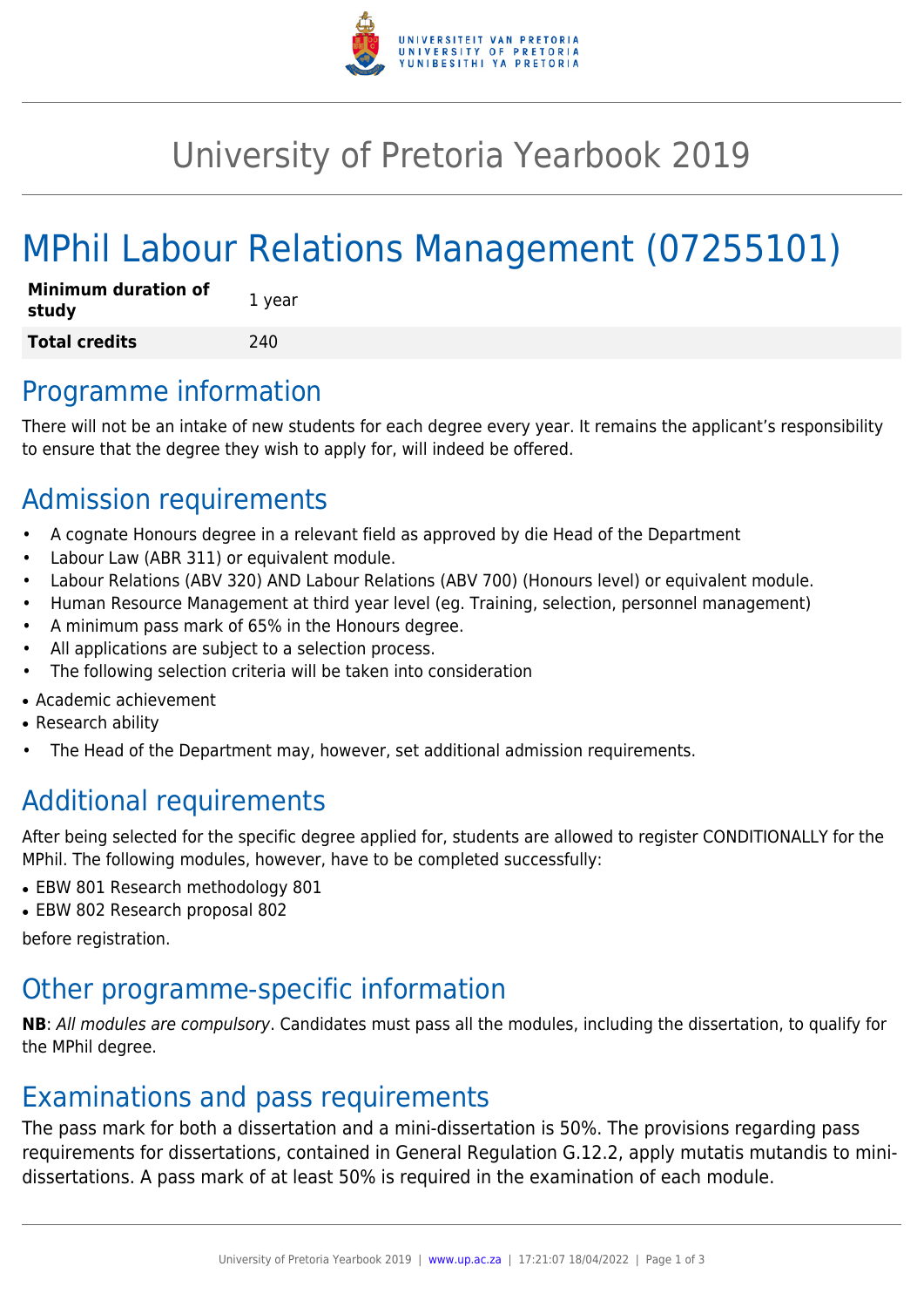

## University of Pretoria Yearbook 2019

# MPhil Labour Relations Management (07255101)

| <b>Minimum duration of</b><br>study | 1 year |
|-------------------------------------|--------|
| <b>Total credits</b>                | 240    |

#### Programme information

There will not be an intake of new students for each degree every year. It remains the applicant's responsibility to ensure that the degree they wish to apply for, will indeed be offered.

### Admission requirements

- A cognate Honours degree in a relevant field as approved by die Head of the Department
- Labour Law (ABR 311) or equivalent module.
- Labour Relations (ABV 320) AND Labour Relations (ABV 700) (Honours level) or equivalent module.
- Human Resource Management at third year level (eg. Training, selection, personnel management)
- A minimum pass mark of 65% in the Honours degree.
- All applications are subject to a selection process.
- The following selection criteria will be taken into consideration
- Academic achievement
- Research ability
- The Head of the Department may, however, set additional admission requirements.

## Additional requirements

After being selected for the specific degree applied for, students are allowed to register CONDITIONALLY for the MPhil. The following modules, however, have to be completed successfully:

- EBW 801 Research methodology 801
- EBW 802 Research proposal 802

before registration.

#### Other programme-specific information

**NB**: All modules are compulsory. Candidates must pass all the modules, including the dissertation, to qualify for the MPhil degree.

#### Examinations and pass requirements

The pass mark for both a dissertation and a mini-dissertation is 50%. The provisions regarding pass requirements for dissertations, contained in General Regulation G.12.2, apply mutatis mutandis to minidissertations. A pass mark of at least 50% is required in the examination of each module.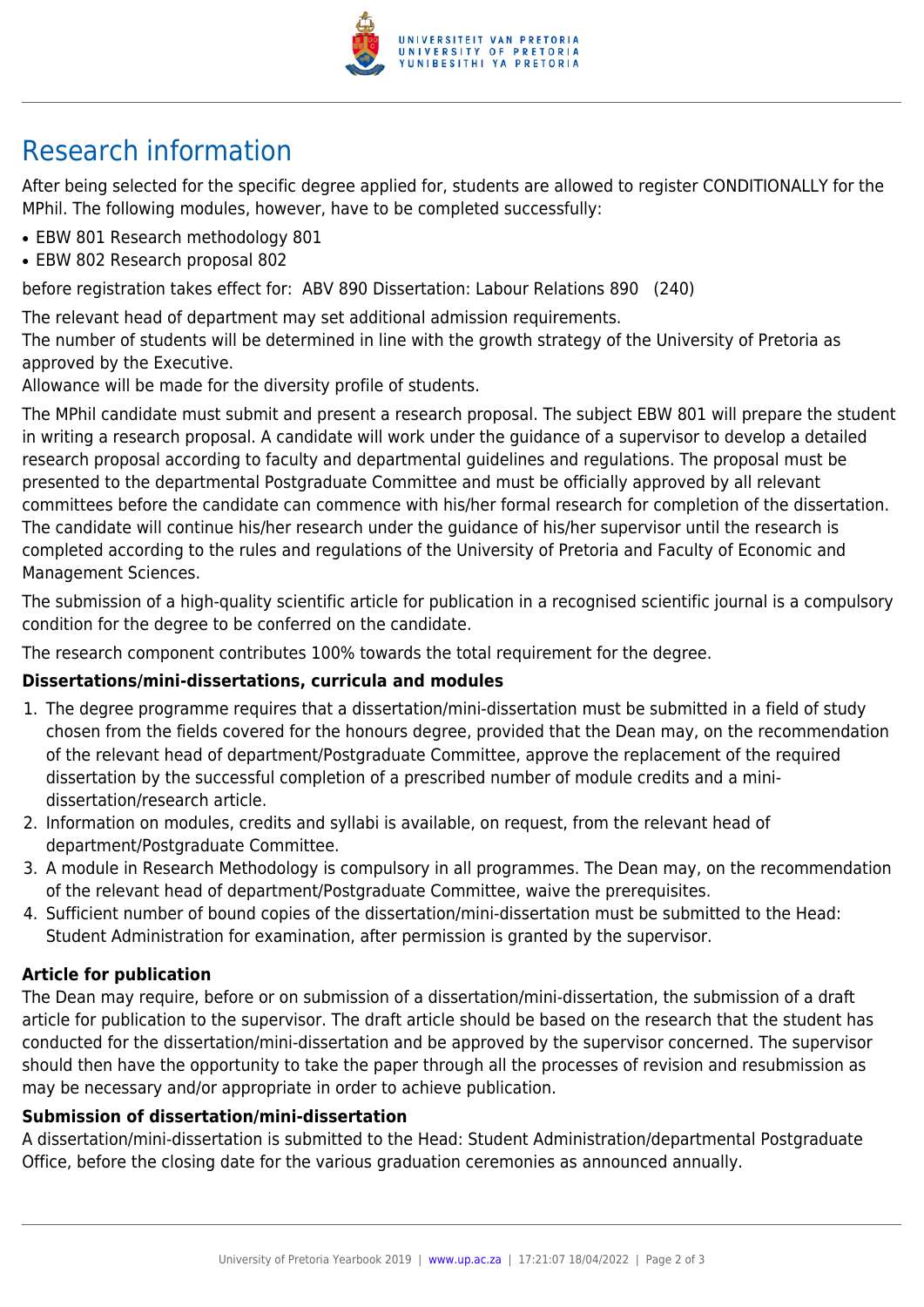

## Research information

After being selected for the specific degree applied for, students are allowed to register CONDITIONALLY for the MPhil. The following modules, however, have to be completed successfully:

- EBW 801 Research methodology 801
- EBW 802 Research proposal 802

before registration takes effect for: ABV 890 Dissertation: Labour Relations 890 (240)

The relevant head of department may set additional admission requirements.

The number of students will be determined in line with the growth strategy of the University of Pretoria as approved by the Executive.

Allowance will be made for the diversity profile of students.

The MPhil candidate must submit and present a research proposal. The subject EBW 801 will prepare the student in writing a research proposal. A candidate will work under the guidance of a supervisor to develop a detailed research proposal according to faculty and departmental guidelines and regulations. The proposal must be presented to the departmental Postgraduate Committee and must be officially approved by all relevant committees before the candidate can commence with his/her formal research for completion of the dissertation. The candidate will continue his/her research under the guidance of his/her supervisor until the research is completed according to the rules and regulations of the University of Pretoria and Faculty of Economic and Management Sciences.

The submission of a high-quality scientific article for publication in a recognised scientific journal is a compulsory condition for the degree to be conferred on the candidate.

The research component contributes 100% towards the total requirement for the degree.

#### **Dissertations/mini-dissertations, curricula and modules**

- 1. The degree programme requires that a dissertation/mini-dissertation must be submitted in a field of study chosen from the fields covered for the honours degree, provided that the Dean may, on the recommendation of the relevant head of department/Postgraduate Committee, approve the replacement of the required dissertation by the successful completion of a prescribed number of module credits and a minidissertation/research article.
- 2. Information on modules, credits and syllabi is available, on request, from the relevant head of department/Postgraduate Committee.
- 3. A module in Research Methodology is compulsory in all programmes. The Dean may, on the recommendation of the relevant head of department/Postgraduate Committee, waive the prerequisites.
- 4. Sufficient number of bound copies of the dissertation/mini-dissertation must be submitted to the Head: Student Administration for examination, after permission is granted by the supervisor.

#### **Article for publication**

The Dean may require, before or on submission of a dissertation/mini-dissertation, the submission of a draft article for publication to the supervisor. The draft article should be based on the research that the student has conducted for the dissertation/mini-dissertation and be approved by the supervisor concerned. The supervisor should then have the opportunity to take the paper through all the processes of revision and resubmission as may be necessary and/or appropriate in order to achieve publication.

#### **Submission of dissertation/mini-dissertation**

A dissertation/mini-dissertation is submitted to the Head: Student Administration/departmental Postgraduate Office, before the closing date for the various graduation ceremonies as announced annually.